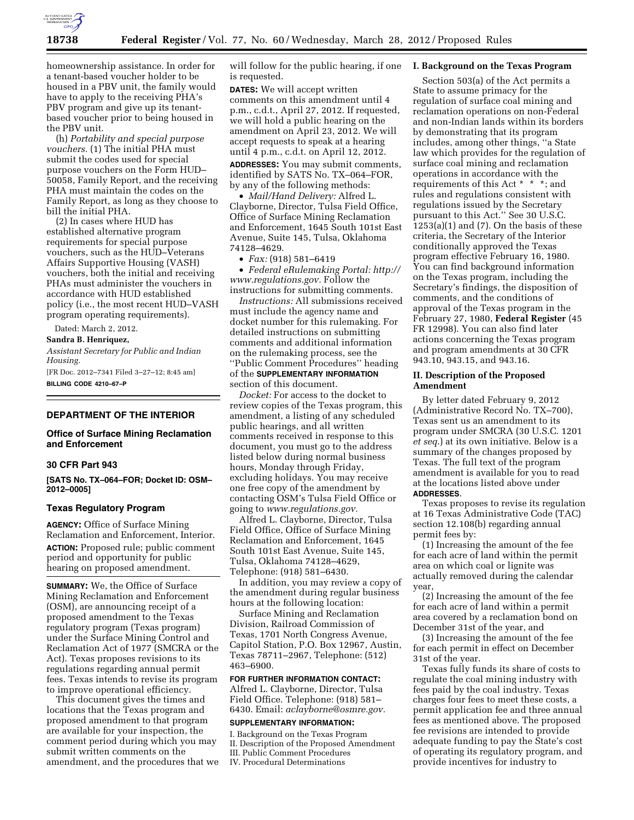

homeownership assistance. In order for a tenant-based voucher holder to be housed in a PBV unit, the family would have to apply to the receiving PHA's PBV program and give up its tenantbased voucher prior to being housed in the PBV unit.

(h) *Portability and special purpose vouchers.* (1) The initial PHA must submit the codes used for special purpose vouchers on the Form HUD– 50058, Family Report, and the receiving PHA must maintain the codes on the Family Report, as long as they choose to bill the initial PHA.

(2) In cases where HUD has established alternative program requirements for special purpose vouchers, such as the HUD–Veterans Affairs Supportive Housing (VASH) vouchers, both the initial and receiving PHAs must administer the vouchers in accordance with HUD established policy (i.e., the most recent HUD–VASH program operating requirements).

Dated: March 2, 2012.

**Sandra B. Henriquez,** 

*Assistant Secretary for Public and Indian Housing.* 

[FR Doc. 2012–7341 Filed 3–27–12; 8:45 am] **BILLING CODE 4210–67–P** 

# **DEPARTMENT OF THE INTERIOR**

# **Office of Surface Mining Reclamation and Enforcement**

# **30 CFR Part 943**

**[SATS No. TX–064–FOR; Docket ID: OSM– 2012–0005]** 

#### **Texas Regulatory Program**

**AGENCY:** Office of Surface Mining Reclamation and Enforcement, Interior. **ACTION:** Proposed rule; public comment period and opportunity for public hearing on proposed amendment.

**SUMMARY:** We, the Office of Surface Mining Reclamation and Enforcement (OSM), are announcing receipt of a proposed amendment to the Texas regulatory program (Texas program) under the Surface Mining Control and Reclamation Act of 1977 (SMCRA or the Act). Texas proposes revisions to its regulations regarding annual permit fees. Texas intends to revise its program to improve operational efficiency.

This document gives the times and locations that the Texas program and proposed amendment to that program are available for your inspection, the comment period during which you may submit written comments on the amendment, and the procedures that we will follow for the public hearing, if one is requested.

**DATES:** We will accept written comments on this amendment until 4 p.m., c.d.t., April 27, 2012. If requested, we will hold a public hearing on the amendment on April 23, 2012. We will accept requests to speak at a hearing until 4 p.m., c.d.t. on April 12, 2012.

**ADDRESSES:** You may submit comments, identified by SATS No. TX–064–FOR, by any of the following methods:

• *Mail/Hand Delivery:* Alfred L. Clayborne, Director, Tulsa Field Office, Office of Surface Mining Reclamation and Enforcement, 1645 South 101st East Avenue, Suite 145, Tulsa, Oklahoma 74128–4629.

• *Fax:* (918) 581–6419

• *Federal eRulemaking Portal: [http://](http://www.regulations.gov)  [www.regulations.gov.](http://www.regulations.gov)* Follow the instructions for submitting comments.

*Instructions:* All submissions received must include the agency name and docket number for this rulemaking. For detailed instructions on submitting comments and additional information on the rulemaking process, see the ''Public Comment Procedures'' heading of the **SUPPLEMENTARY INFORMATION** section of this document.

*Docket:* For access to the docket to review copies of the Texas program, this amendment, a listing of any scheduled public hearings, and all written comments received in response to this document, you must go to the address listed below during normal business hours, Monday through Friday, excluding holidays. You may receive one free copy of the amendment by contacting OSM's Tulsa Field Office or going to *[www.regulations.gov.](http://www.regulations.gov)* 

Alfred L. Clayborne, Director, Tulsa Field Office, Office of Surface Mining Reclamation and Enforcement, 1645 South 101st East Avenue, Suite 145, Tulsa, Oklahoma 74128–4629, Telephone: (918) 581–6430.

In addition, you may review a copy of the amendment during regular business hours at the following location:

Surface Mining and Reclamation Division, Railroad Commission of Texas, 1701 North Congress Avenue, Capitol Station, P.O. Box 12967, Austin, Texas 78711–2967, Telephone: (512) 463–6900.

# **FOR FURTHER INFORMATION CONTACT:**  Alfred L. Clayborne, Director, Tulsa Field Office. Telephone: (918) 581– 6430. Email: *[aclayborne@osmre.gov.](mailto:aclayborne@osmre.gov)*

#### **SUPPLEMENTARY INFORMATION:**

I. Background on the Texas Program II. Description of the Proposed Amendment III. Public Comment Procedures IV. Procedural Determinations

## **I. Background on the Texas Program**

Section 503(a) of the Act permits a State to assume primacy for the regulation of surface coal mining and reclamation operations on non-Federal and non-Indian lands within its borders by demonstrating that its program includes, among other things, ''a State law which provides for the regulation of surface coal mining and reclamation operations in accordance with the requirements of this Act \* \* \*; and rules and regulations consistent with regulations issued by the Secretary pursuant to this Act.'' See 30 U.S.C.  $1253(a)(1)$  and  $(7)$ . On the basis of these criteria, the Secretary of the Interior conditionally approved the Texas program effective February 16, 1980. You can find background information on the Texas program, including the Secretary's findings, the disposition of comments, and the conditions of approval of the Texas program in the February 27, 1980, **Federal Register** (45 FR 12998). You can also find later actions concerning the Texas program and program amendments at 30 CFR 943.10, 943.15, and 943.16.

#### **II. Description of the Proposed Amendment**

By letter dated February 9, 2012 (Administrative Record No. TX–700), Texas sent us an amendment to its program under SMCRA (30 U.S.C. 1201 *et seq.*) at its own initiative. Below is a summary of the changes proposed by Texas. The full text of the program amendment is available for you to read at the locations listed above under **ADDRESSES**.

Texas proposes to revise its regulation at 16 Texas Administrative Code (TAC) section 12.108(b) regarding annual permit fees by:

(1) Increasing the amount of the fee for each acre of land within the permit area on which coal or lignite was actually removed during the calendar year,

(2) Increasing the amount of the fee for each acre of land within a permit area covered by a reclamation bond on December 31st of the year, and

(3) Increasing the amount of the fee for each permit in effect on December 31st of the year.

Texas fully funds its share of costs to regulate the coal mining industry with fees paid by the coal industry. Texas charges four fees to meet these costs, a permit application fee and three annual fees as mentioned above. The proposed fee revisions are intended to provide adequate funding to pay the State's cost of operating its regulatory program, and provide incentives for industry to